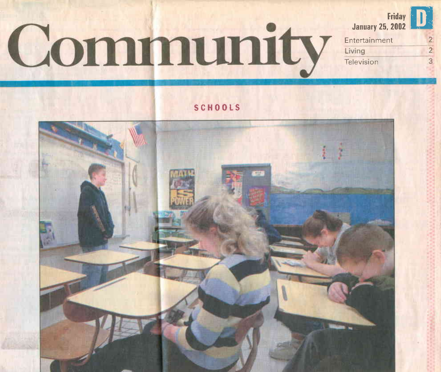## Community



Entertainment Living Television

 $\overline{2}$ 

 $\overline{3}$ 

SCHOOLS

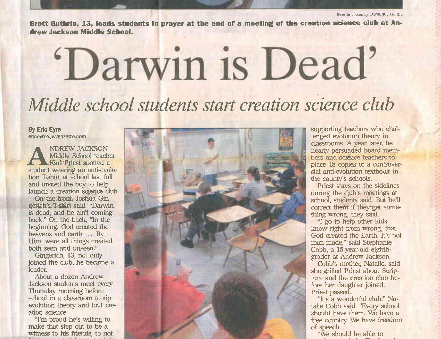Brett Guthrie, 13, leads students in prayer at the end of a meeting of the creation science club at Andrew Jackson Middle School.

## 'Darwin is Dead' Middle school students start creation science club

By Eric Eyre ericeyre@wvgazette.com

. NDREW JACKSON Middle School teacher Karl Priest spotted a student wearing an anti-evolution T:shirt at school last fall and invited the boy to help launch a creation science club.

On the front, Joshua Gingerich's T-shirt said, "Darwin is dead, and he ain't coming back." On the back, "In the beginning, God created the heavens and earth ... By Him, were all things created both seen and unseen."

Gingerich, 13, not only joined the club, he became a leader:

About a dozen Andrew Jackson students meet every Thursday moming before school in a classroom to rip evolution theory and tout creation science.

"I'm proud he's willing to make that step out to be a witness to his friends, to not



supporting teachers who challenged evolution theory in classrooms. A year later, he nearly persuaded board members and science teachers to place 48 copies of a controversial anti-evolution textbook in the county's schools.

Priest stays on the sidelines during the club's meetings at school, students said. But he'll correct them if they get something wrong, they said.

"I go to help other kids know right from wrong, that God created the Earth. It's not man-made," said Stephanie Cobb, a 15-year-old eighthgrader at Andrew Jackson.

Cobb's mother, Natalie, said she grilled Priest about Scripture and the creation club before her daughter joined. Priest Dassed.

"It's a wonderful club," Natalie Cobb said. "Every school should have them. We have a free country. We have freedom of soeech.

"We should be able to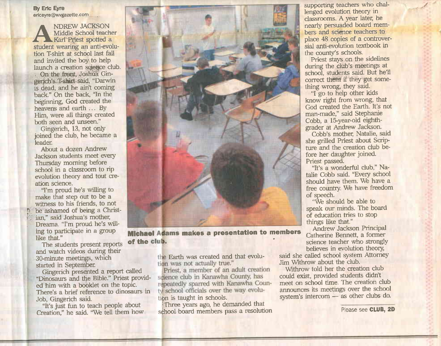By Eric Eyre ericeyre@wvgazette.com

**NDREW JACKSON** Middle School teacher Karl Priest spotted a student wearing an anti-evolution T-shirt at school last fall and invited the boy to help launch a creation science club.

0n the front, Joshua Gingerich's. T-shirt-said, "Darwin is dead. and he ain't coming back." On the back, "In the beginning, God created the heavens and earth ... BY Him, were all things created both seen and unseen."

Gingerich, 13, not only joined the club, he became a leader.

About a dozen Andrew Jackson students meet every Thursday moming before school in a classroom to rip evolution theory and tout cre' ation science.

"I'm proud he's willing to make that step out to be a witness to his friends, to not . be ashamed of being a Christian," said Joshua's mother, Dreama. "I'm proud he's will' ing to participate in a group<br>like that." like that."<br>The students present reports of the club.

30-minute meetings, which started in September. and watch videos during their

Gingerich bresented a report called "Dinosaurs and the Bible." Priest provided him with a booklet on the topic. There's a brief reference to dinosaurs in Job, Gingerich said.

"It's just fun to teach people about Creation," he said. "We tell them how



Michael Adams makes a presentation to members Catherine Bennett, a former<br>of the club.<br>Science teacher who strongly

the Earth was created and that evolu-<br>tion was not actually true."

Priest, a member of an adult creation science club in Kanawha County, has repeatedly sparred with Kanawha County school officials over the way evolutibn is taught in schools.

Three years ago, he demanded that school board members pass a resolution supporting teachers who challenged evolution theory in classrooms. A year later, he nearly persuaded board members and science teachers to place 48 copies of a controversial anti-evolution textbook in the countv's schools.

Priest stays on the sidelines during the club's meetings at school, students said. But he'll correct them if they get something wrong. they said.

"I eo to help other kids know right from wrong, that God created the Earth. It's not man-made," said Stephanie Cobb, a l5-year-old eighthqrader at Andrew Jackson.

Cobb's mother, Natalie, said she griled Priest about ScriP ture and the creation club before her daughter joined. Priest passed.

"It's a wonderful club," Natalie Cobb said. "Every school should have them. We have a free country. We have freedom of speech.

"We shouid be able to speak our minds. The board of education tries to stop things like that."<br>Andrew Jackson Principal

believes in evolution theory,<br>said she called school system Attorney

Jim Withrow about the ciub.

Withrow told her the creation club could exist, provided students didn't meet on school time. The creation club announces its meetings over the school system's intercom - as other clubs do.

Please see GIUB, 2D